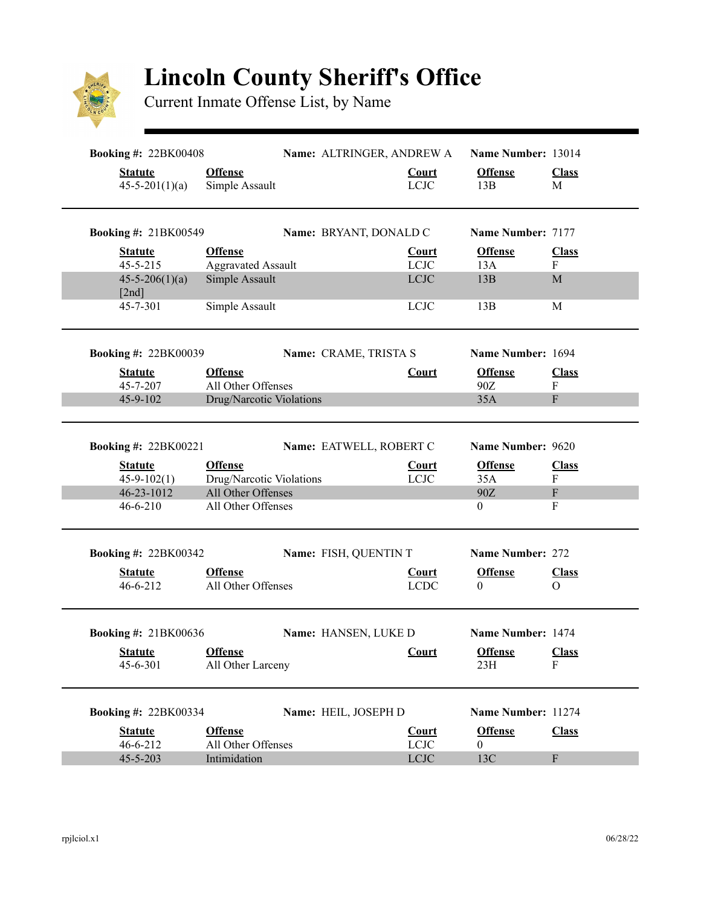

## **Lincoln County Sheriff's Office**

Current Inmate Offense List, by Name

| <b>Booking #: 22BK00408</b>            |                                  | Name: ALTRINGER, ANDREW A |                             | Name Number: 13014    |                   |
|----------------------------------------|----------------------------------|---------------------------|-----------------------------|-----------------------|-------------------|
| <b>Statute</b><br>$45 - 5 - 201(1)(a)$ | <b>Offense</b><br>Simple Assault |                           | <b>Court</b><br><b>LCJC</b> | <b>Offense</b><br>13B | <b>Class</b><br>M |
| <b>Booking #: 21BK00549</b>            |                                  | Name: BRYANT, DONALD C    |                             | Name Number: 7177     |                   |
| <b>Statute</b>                         | <b>Offense</b>                   |                           | <b>Court</b>                | <b>Offense</b>        | <b>Class</b>      |
| $45 - 5 - 215$                         | <b>Aggravated Assault</b>        |                           | <b>LCJC</b><br><b>LCJC</b>  | 13A                   | $\mathbf{F}$      |
| $45 - 5 - 206(1)(a)$<br>[2nd]          | Simple Assault                   |                           |                             | 13B                   | M                 |
| 45-7-301                               | Simple Assault                   |                           | <b>LCJC</b>                 | 13B                   | M                 |
| <b>Booking #: 22BK00039</b>            |                                  | Name: CRAME, TRISTA S     |                             | Name Number: 1694     |                   |
| <b>Statute</b>                         | <b>Offense</b>                   |                           | <b>Court</b>                | <b>Offense</b>        | <b>Class</b>      |
| 45-7-207                               | All Other Offenses               |                           |                             | 90Z                   | $\mathbf{F}$      |
| 45-9-102                               | Drug/Narcotic Violations         |                           |                             | 35A                   | $\mathbf F$       |
| <b>Booking #: 22BK00221</b>            |                                  | Name: EATWELL, ROBERT C   |                             | Name Number: 9620     |                   |
| <b>Statute</b>                         | <b>Offense</b>                   |                           | <b>Court</b>                | <b>Offense</b>        | <b>Class</b>      |
| $45-9-102(1)$                          | Drug/Narcotic Violations         |                           | <b>LCJC</b>                 | 35A                   | $\mathbf F$       |
| 46-23-1012                             | All Other Offenses               |                           |                             | 90Z                   | $\mathbf F$       |
| $46 - 6 - 210$                         | All Other Offenses               |                           |                             | 0                     | $\mathbf{F}$      |
| <b>Booking #: 22BK00342</b>            |                                  | Name: FISH, QUENTIN T     |                             | Name Number: 272      |                   |
| <b>Statute</b>                         | <b>Offense</b>                   |                           | <b>Court</b>                | <b>Offense</b>        | <b>Class</b>      |
| $46 - 6 - 212$                         | All Other Offenses               |                           | <b>LCDC</b>                 | 0                     | $\Omega$          |
| <b>Booking #: 21BK00636</b>            |                                  | Name: HANSEN, LUKE D      |                             | Name Number: 1474     |                   |
| <b>Statute</b>                         | <b>Offense</b>                   |                           | Court                       | <b>Offense</b>        | <b>Class</b>      |
| 45-6-301                               | All Other Larceny                |                           |                             | 23H                   | F                 |
| <b>Booking #: 22BK00334</b>            |                                  | Name: HEIL, JOSEPH D      |                             | Name Number: 11274    |                   |
| <b>Statute</b>                         | <b>Offense</b>                   |                           | <b>Court</b>                | <b>Offense</b>        | <b>Class</b>      |
| 46-6-212                               | All Other Offenses               |                           | <b>LCJC</b>                 | $\overline{0}$        |                   |
| $45 - 5 - 203$                         | Intimidation                     |                           | $_{\rm LClC}$               | 13C                   | $\mathbf F$       |
|                                        |                                  |                           |                             |                       |                   |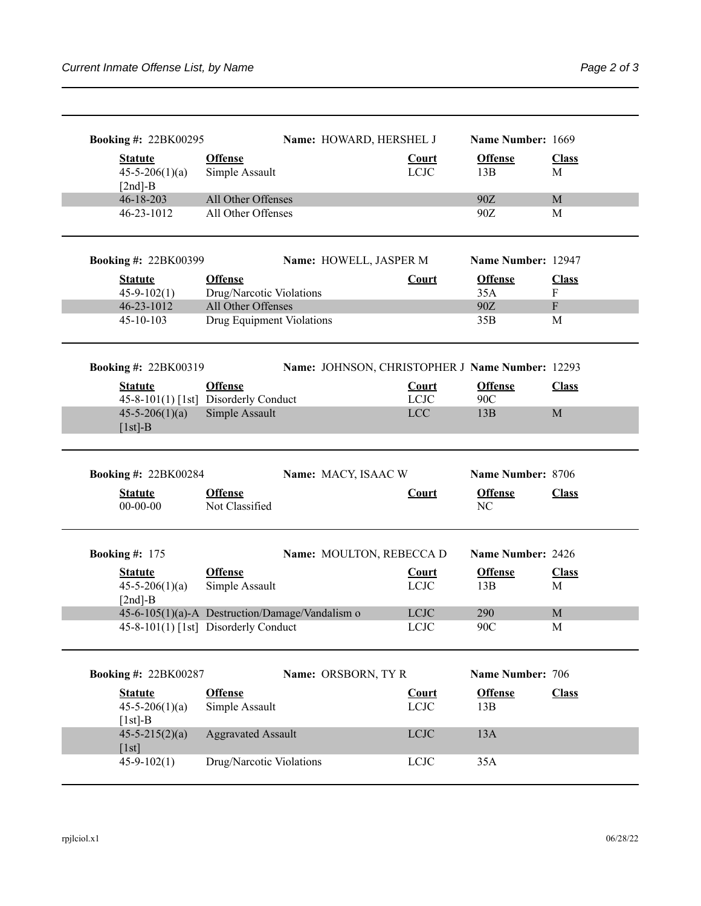| <b>Booking #: 22BK00295</b>                            |                                                       | Name: HOWARD, HERSHEL J  |                              | Name Number: 1669                               |                           |
|--------------------------------------------------------|-------------------------------------------------------|--------------------------|------------------------------|-------------------------------------------------|---------------------------|
| <b>Statute</b><br>$45 - 5 - 206(1)(a)$<br>$[2nd]-B$    | <b>Offense</b><br>Simple Assault                      |                          | <b>Court</b><br><b>LCJC</b>  | <b>Offense</b><br>13B                           | <b>Class</b><br>M         |
| 46-18-203                                              | All Other Offenses                                    |                          |                              | 90Z                                             | M                         |
| 46-23-1012                                             | All Other Offenses                                    |                          |                              | 90Z                                             | M                         |
| <b>Booking #: 22BK00399</b>                            |                                                       | Name: HOWELL, JASPER M   |                              | Name Number: 12947                              |                           |
| <b>Statute</b>                                         | <b>Offense</b>                                        |                          | <b>Court</b>                 | <b>Offense</b>                                  | <b>Class</b>              |
| $45 - 9 - 102(1)$                                      | Drug/Narcotic Violations                              |                          |                              | 35A                                             | $\boldsymbol{\mathrm{F}}$ |
| 46-23-1012                                             | All Other Offenses                                    |                          |                              | 90Z                                             | ${\bf F}$                 |
| 45-10-103                                              | Drug Equipment Violations                             |                          |                              | 35B                                             | M                         |
| <b>Booking #: 22BK00319</b>                            |                                                       |                          |                              | Name: JOHNSON, CHRISTOPHER J Name Number: 12293 |                           |
| <b>Statute</b><br>45-8-101(1) [1st] Disorderly Conduct | <b>Offense</b>                                        |                          | Court<br><b>LCJC</b>         | <b>Offense</b><br>90C                           | <b>Class</b>              |
| $45 - 5 - 206(1)(a)$<br>$[1st]-B$                      | Simple Assault                                        |                          | <b>LCC</b>                   | 13B                                             | $\mathbf M$               |
|                                                        |                                                       |                          |                              |                                                 |                           |
| <b>Booking #: 22BK00284</b>                            |                                                       | Name: MACY, ISAAC W      |                              | Name Number: 8706                               |                           |
| <b>Statute</b><br>$00-00-00$                           | <b>Offense</b><br>Not Classified                      |                          | <b>Court</b>                 | <b>Offense</b><br>N <sub>C</sub>                | <b>Class</b>              |
| <b>Booking #: 175</b>                                  |                                                       | Name: MOULTON, REBECCA D |                              | Name Number: 2426                               |                           |
| <b>Statute</b><br>$45 - 5 - 206(1)(a)$<br>$[2nd]-B$    | <b>Offense</b><br>Simple Assault                      |                          | <b>Court</b><br><b>LCJC</b>  | <b>Offense</b><br>13B                           | <b>Class</b><br>M         |
| 45-6-105(1)(a)-A Destruction/Damage/Vandalism o        |                                                       |                          | <b>LCJC</b>                  | 290                                             | M                         |
| 45-8-101(1) [1st] Disorderly Conduct                   |                                                       |                          | <b>LCJC</b>                  | 90C                                             | M                         |
| <b>Booking #: 22BK00287</b>                            |                                                       | Name: ORSBORN, TYR       |                              | Name Number: 706                                |                           |
|                                                        |                                                       |                          |                              |                                                 |                           |
| <b>Statute</b><br>$45 - 5 - 206(1)(a)$<br>$[1st]-B$    | <b>Offense</b><br>Simple Assault                      |                          | <b>Court</b><br><b>LCJC</b>  | <b>Offense</b><br>13B                           | <b>Class</b>              |
| $45 - 5 - 215(2)(a)$<br>[1st]<br>$45 - 9 - 102(1)$     | <b>Aggravated Assault</b><br>Drug/Narcotic Violations |                          | $_{\rm LClC}$<br><b>LCJC</b> | 13A<br>35A                                      |                           |